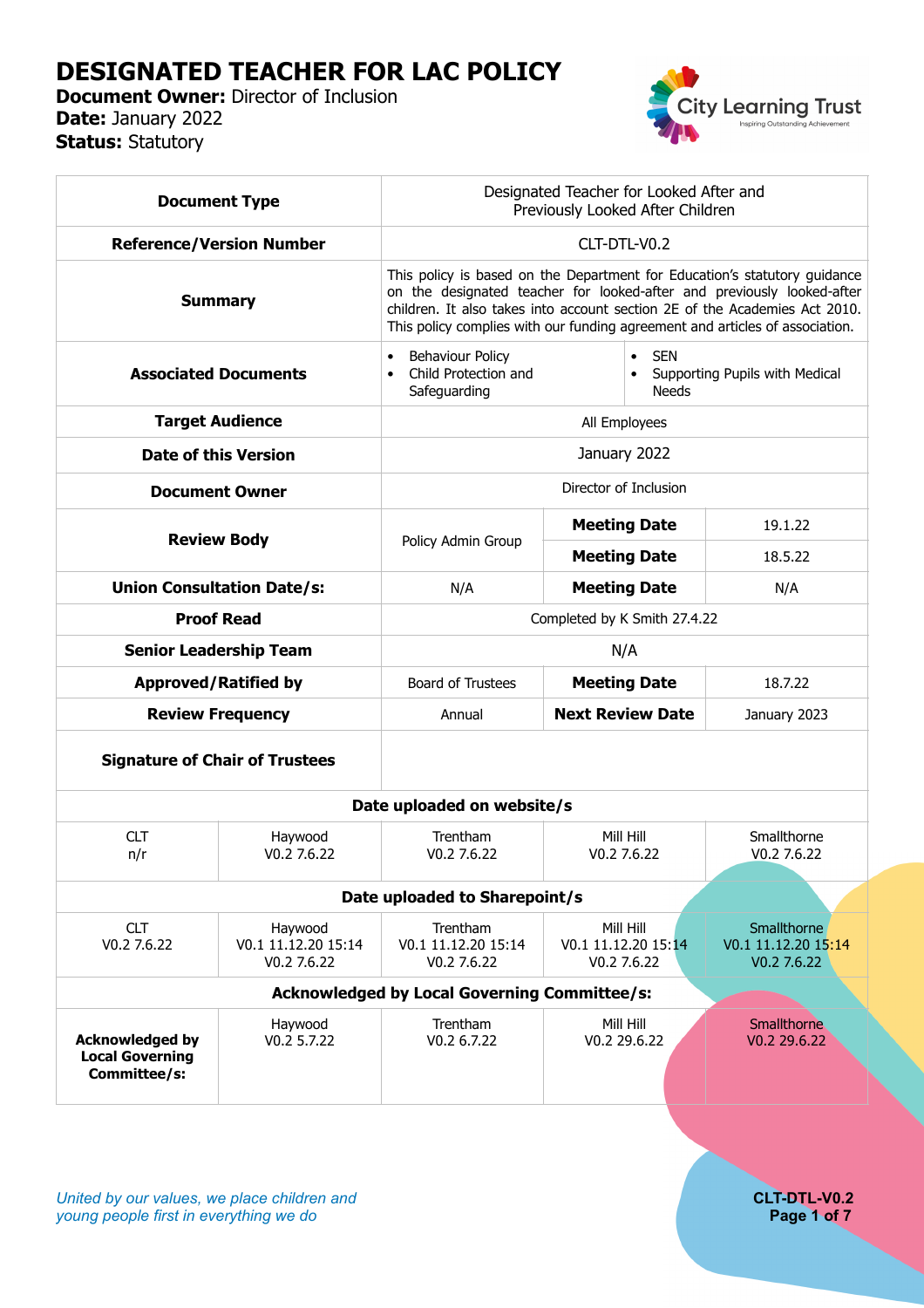# **DESIGNATED TEACHER FOR LAC POLICY**

**Document Owner:** Director of Inclusion **Date:** January 2022 **Status:** Statutory



|                                                                  | <b>Document Type</b>                                | Designated Teacher for Looked After and<br>Previously Looked After Children                                                                                                                                                                                                                                       |                                                 |                                                              |                                                   |  |  |
|------------------------------------------------------------------|-----------------------------------------------------|-------------------------------------------------------------------------------------------------------------------------------------------------------------------------------------------------------------------------------------------------------------------------------------------------------------------|-------------------------------------------------|--------------------------------------------------------------|---------------------------------------------------|--|--|
|                                                                  | <b>Reference/Version Number</b>                     | CLT-DTL-V0.2                                                                                                                                                                                                                                                                                                      |                                                 |                                                              |                                                   |  |  |
|                                                                  | <b>Summary</b>                                      | This policy is based on the Department for Education's statutory guidance<br>on the designated teacher for looked-after and previously looked-after<br>children. It also takes into account section 2E of the Academies Act 2010.<br>This policy complies with our funding agreement and articles of association. |                                                 |                                                              |                                                   |  |  |
| <b>Associated Documents</b>                                      |                                                     | <b>Behaviour Policy</b><br>Child Protection and<br>Safeguarding                                                                                                                                                                                                                                                   |                                                 | <b>SEN</b><br>Supporting Pupils with Medical<br><b>Needs</b> |                                                   |  |  |
|                                                                  | <b>Target Audience</b>                              |                                                                                                                                                                                                                                                                                                                   | All Employees                                   |                                                              |                                                   |  |  |
| <b>Date of this Version</b>                                      |                                                     | January 2022                                                                                                                                                                                                                                                                                                      |                                                 |                                                              |                                                   |  |  |
| <b>Document Owner</b>                                            |                                                     | Director of Inclusion                                                                                                                                                                                                                                                                                             |                                                 |                                                              |                                                   |  |  |
| <b>Review Body</b>                                               |                                                     | Policy Admin Group                                                                                                                                                                                                                                                                                                | <b>Meeting Date</b>                             |                                                              | 19.1.22                                           |  |  |
|                                                                  |                                                     |                                                                                                                                                                                                                                                                                                                   | <b>Meeting Date</b>                             |                                                              | 18.5.22                                           |  |  |
|                                                                  | <b>Union Consultation Date/s:</b>                   |                                                                                                                                                                                                                                                                                                                   | <b>Meeting Date</b>                             |                                                              | N/A                                               |  |  |
|                                                                  | <b>Proof Read</b>                                   |                                                                                                                                                                                                                                                                                                                   | Completed by K Smith 27.4.22                    |                                                              |                                                   |  |  |
|                                                                  | <b>Senior Leadership Team</b>                       | N/A                                                                                                                                                                                                                                                                                                               |                                                 |                                                              |                                                   |  |  |
|                                                                  | <b>Approved/Ratified by</b>                         | Board of Trustees                                                                                                                                                                                                                                                                                                 | <b>Meeting Date</b>                             |                                                              | 18.7.22                                           |  |  |
| <b>Review Frequency</b>                                          |                                                     | Annual                                                                                                                                                                                                                                                                                                            | <b>Next Review Date</b>                         |                                                              | January 2023                                      |  |  |
| <b>Signature of Chair of Trustees</b>                            |                                                     |                                                                                                                                                                                                                                                                                                                   |                                                 |                                                              |                                                   |  |  |
| Date uploaded on website/s                                       |                                                     |                                                                                                                                                                                                                                                                                                                   |                                                 |                                                              |                                                   |  |  |
| <b>CLT</b><br>n/r                                                | Haywood<br>V0.27.6.22                               | Trentham<br>$V0.2$ 7.6.22                                                                                                                                                                                                                                                                                         | Mill Hill<br>V0.2 7.6.22                        |                                                              | Smallthorne<br>V0.2 7.6.22                        |  |  |
| Date uploaded to Sharepoint/s                                    |                                                     |                                                                                                                                                                                                                                                                                                                   |                                                 |                                                              |                                                   |  |  |
| <b>CLT</b><br>V0.2 7.6.22                                        | Haywood<br>V0.1 11.12.20 15:14<br>V0.27.6.22        | Trentham<br>V0.1 11.12.20 15:14<br>V0.2 7.6.22                                                                                                                                                                                                                                                                    | Mill Hill<br>V0.1 11.12.20 15:14<br>V0.2 7.6.22 |                                                              | Smallthorne<br>V0.1 11.12.20 15:14<br>V0.2 7.6.22 |  |  |
|                                                                  | <b>Acknowledged by Local Governing Committee/s:</b> |                                                                                                                                                                                                                                                                                                                   |                                                 |                                                              |                                                   |  |  |
| <b>Acknowledged by</b><br><b>Local Governing</b><br>Committee/s: | Haywood<br>V0.2 5.7.22                              | Trentham<br>V0.2 6.7.22                                                                                                                                                                                                                                                                                           | Mill Hill<br>V0.2 29.6.22                       |                                                              | Smallthorne<br>V0.2 29.6.22                       |  |  |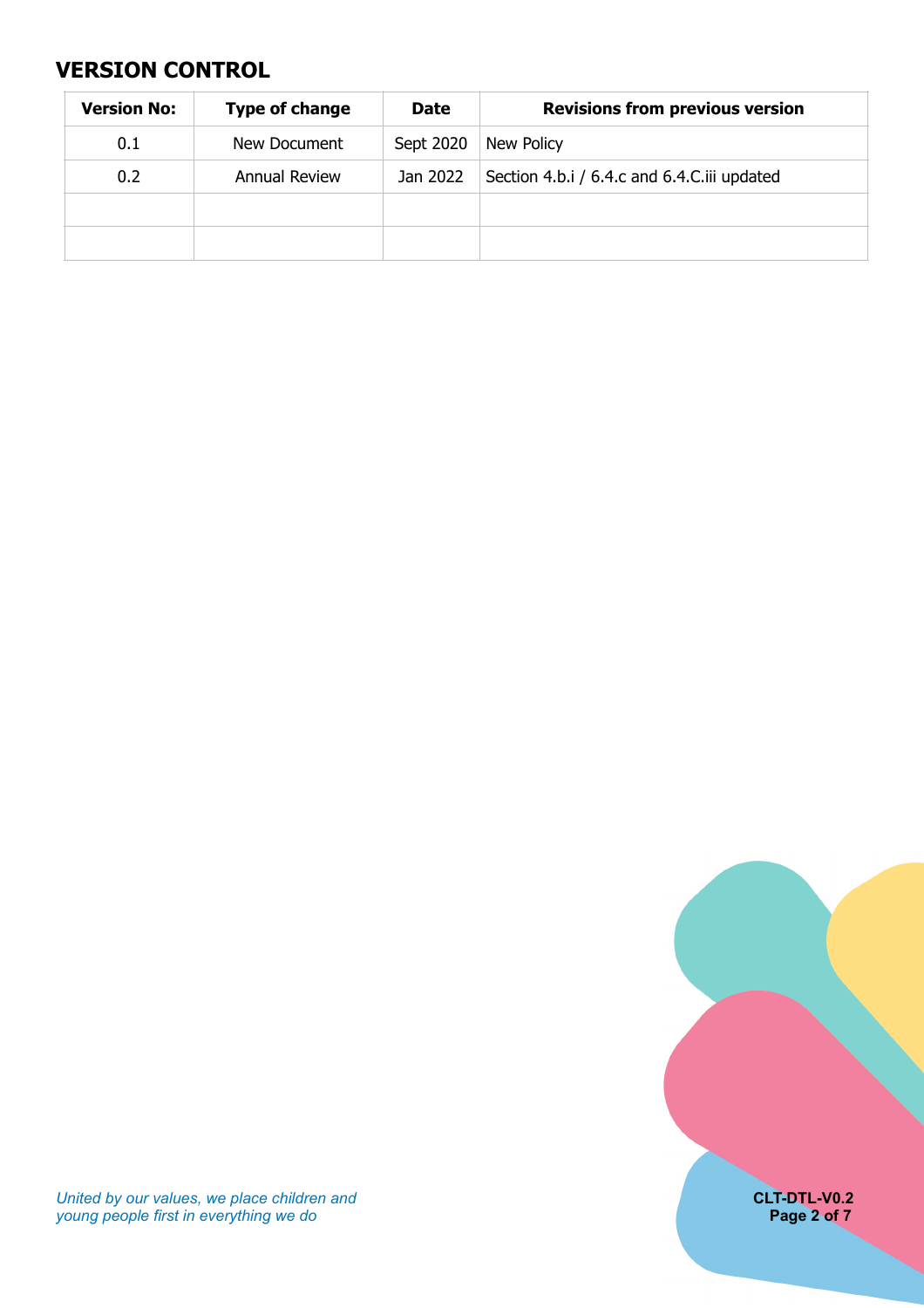## <span id="page-1-0"></span>**VERSION CONTROL**

| <b>Version No:</b> | <b>Type of change</b> | <b>Date</b> | <b>Revisions from previous version</b>      |
|--------------------|-----------------------|-------------|---------------------------------------------|
| 0.1                | New Document          | Sept 2020   | New Policy                                  |
| 0.2                | <b>Annual Review</b>  | Jan 2022    | Section 4.b.i / 6.4.c and 6.4.C.iii updated |
|                    |                       |             |                                             |
|                    |                       |             |                                             |



*United by our values, we place children and* **CLT-DTL-V0.2** *young people first in everything we do* **Page 2 of 7**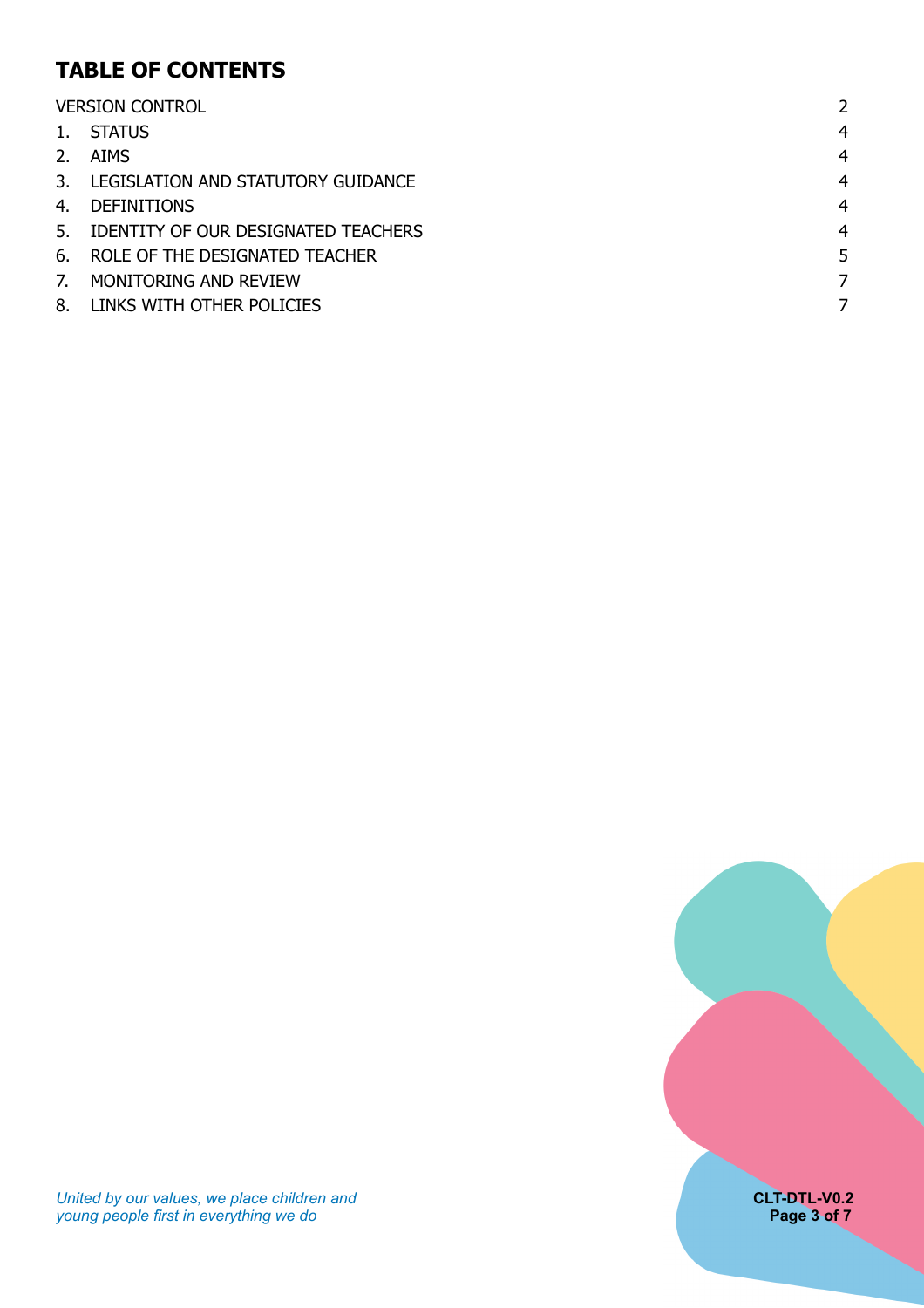# **TABLE OF CONTENTS**

|    | <b>VERSION CONTROL</b>                 |                |
|----|----------------------------------------|----------------|
|    | 1. STATUS                              | $\overline{4}$ |
|    | 2. AIMS                                | $\overline{4}$ |
|    | 3. LEGISLATION AND STATUTORY GUIDANCE  | $\overline{4}$ |
| 4. | <b>DEFINITIONS</b>                     | $\overline{4}$ |
|    | 5. IDENTITY OF OUR DESIGNATED TEACHERS | $\overline{4}$ |
|    | 6. ROLE OF THE DESIGNATED TEACHER      | 5              |
| 7. | MONITORING AND REVIEW                  |                |
| 8. | LINKS WITH OTHER POLICIES              |                |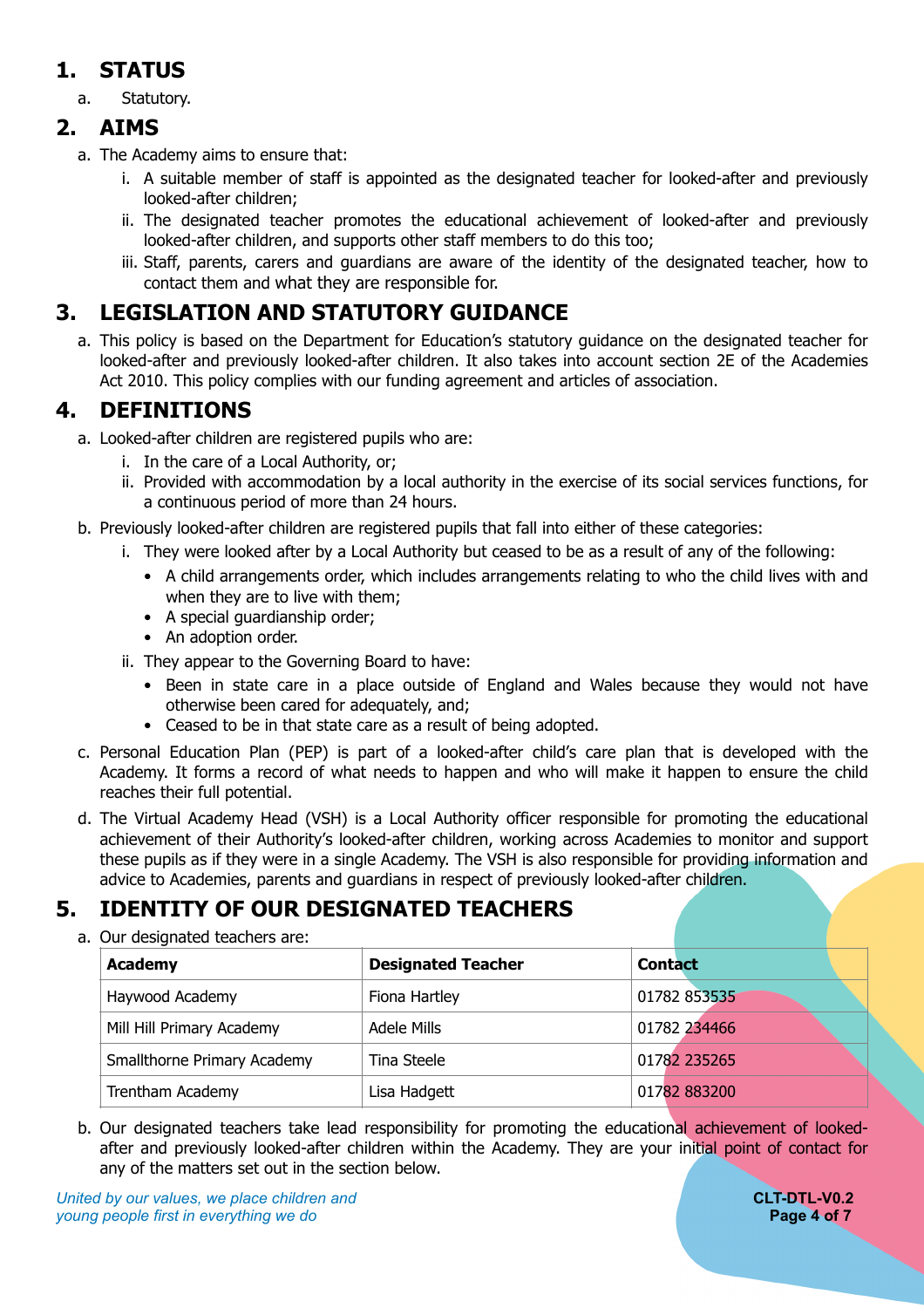# <span id="page-3-0"></span>**1. STATUS**

a. Statutory.

### **2. AIMS**

- <span id="page-3-1"></span>a. The Academy aims to ensure that:
	- i. A suitable member of staff is appointed as the designated teacher for looked-after and previously looked-after children;
	- ii. The designated teacher promotes the educational achievement of looked-after and previously looked-after children, and supports other staff members to do this too;
	- iii. Staff, parents, carers and guardians are aware of the identity of the designated teacher, how to contact them and what they are responsible for.

# **3. LEGISLATION AND STATUTORY GUIDANCE**

<span id="page-3-2"></span>a. This policy is based on the Department for Education's statutory guidance on the designated teacher for looked-after and previously looked-after children. It also takes into account section 2E of the Academies Act 2010. This policy complies with our funding agreement and articles of association.

# **4. DEFINITIONS**

- <span id="page-3-3"></span>a. Looked-after children are registered pupils who are:
	- i. In the care of a Local Authority, or;
	- ii. Provided with accommodation by a local authority in the exercise of its social services functions, for a continuous period of more than 24 hours.
- b. Previously looked-after children are registered pupils that fall into either of these categories:
	- i. They were looked after by a Local Authority but ceased to be as a result of any of the following:
		- A child arrangements order, which includes arrangements relating to who the child lives with and when they are to live with them;
		- A special guardianship order;
		- An adoption order.
	- ii. They appear to the Governing Board to have:
		- Been in state care in a place outside of England and Wales because they would not have otherwise been cared for adequately, and;
		- Ceased to be in that state care as a result of being adopted.
- c. Personal Education Plan (PEP) is part of a looked-after child's care plan that is developed with the Academy. It forms a record of what needs to happen and who will make it happen to ensure the child reaches their full potential.
- d. The Virtual Academy Head (VSH) is a Local Authority officer responsible for promoting the educational achievement of their Authority's looked-after children, working across Academies to monitor and support these pupils as if they were in a single Academy. The VSH is also responsible for providing information and advice to Academies, parents and guardians in respect of previously looked-after children.

# **5. IDENTITY OF OUR DESIGNATED TEACHERS**

<span id="page-3-4"></span>a. Our designated teachers are:

| Academy                     | <b>Designated Teacher</b> | <b>Contact</b> |
|-----------------------------|---------------------------|----------------|
| Haywood Academy             | Fiona Hartley             | 01782 853535   |
| Mill Hill Primary Academy   | Adele Mills               | 01782 234466   |
| Smallthorne Primary Academy | Tina Steele               | 01782 235265   |
| Trentham Academy            | Lisa Hadgett              | 01782 883200   |

b. Our designated teachers take lead responsibility for promoting the educational achievement of lookedafter and previously looked-after children within the Academy. They are your initial point of contact for any of the matters set out in the section below.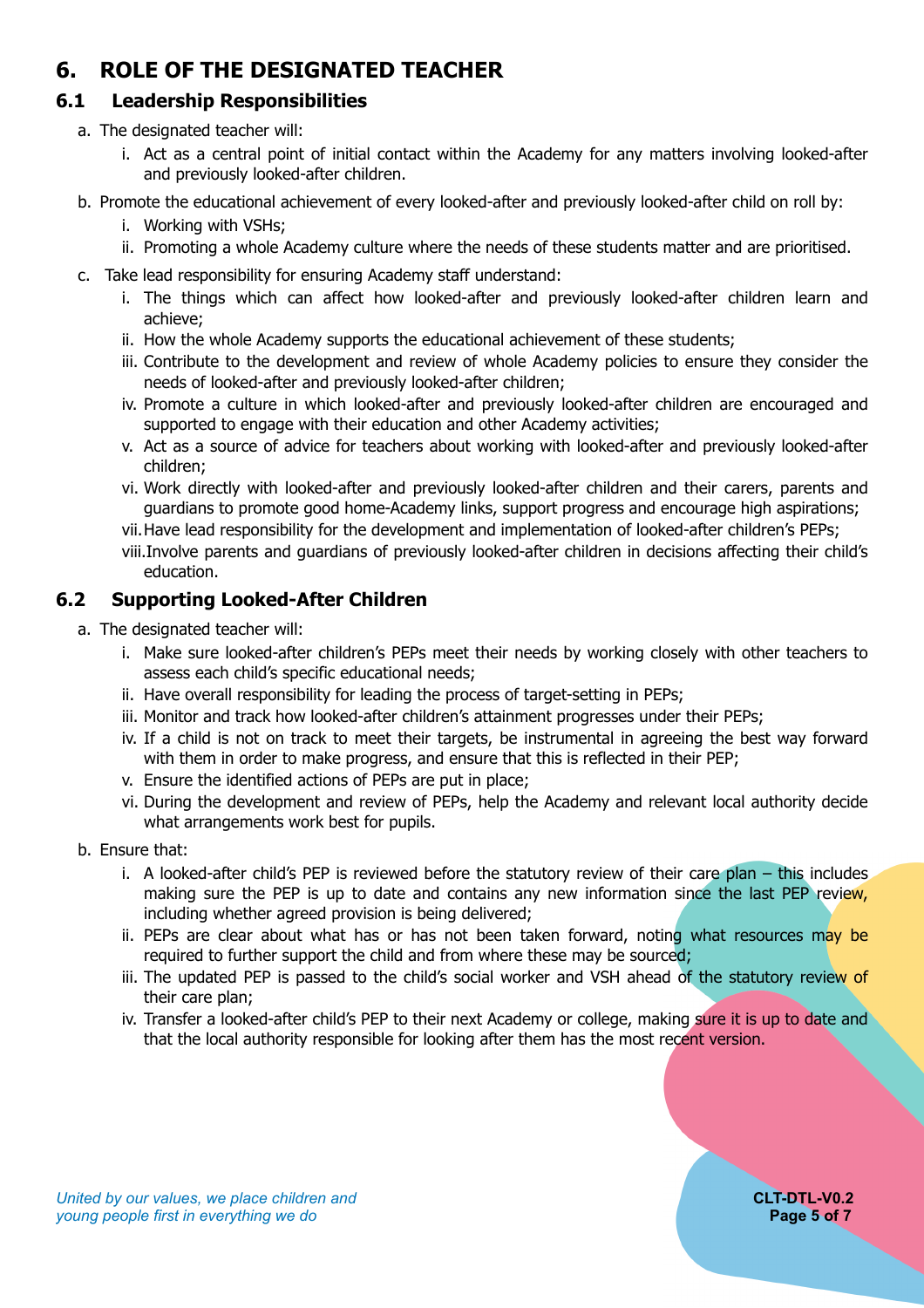# <span id="page-4-0"></span>**6. ROLE OF THE DESIGNATED TEACHER**

### **6.1 Leadership Responsibilities**

- a. The designated teacher will:
	- i. Act as a central point of initial contact within the Academy for any matters involving looked-after and previously looked-after children.
- b. Promote the educational achievement of every looked-after and previously looked-after child on roll by:
	- i. Working with VSHs;
	- ii. Promoting a whole Academy culture where the needs of these students matter and are prioritised.
- c. Take lead responsibility for ensuring Academy staff understand:
	- i. The things which can affect how looked-after and previously looked-after children learn and achieve;
	- ii. How the whole Academy supports the educational achievement of these students;
	- iii. Contribute to the development and review of whole Academy policies to ensure they consider the needs of looked-after and previously looked-after children;
	- iv. Promote a culture in which looked-after and previously looked-after children are encouraged and supported to engage with their education and other Academy activities;
	- v. Act as a source of advice for teachers about working with looked-after and previously looked-after children;
	- vi. Work directly with looked-after and previously looked-after children and their carers, parents and guardians to promote good home-Academy links, support progress and encourage high aspirations;
	- vii.Have lead responsibility for the development and implementation of looked-after children's PEPs;
	- viii.Involve parents and guardians of previously looked-after children in decisions affecting their child's education.

### **6.2 Supporting Looked-After Children**

- a. The designated teacher will:
	- i. Make sure looked-after children's PEPs meet their needs by working closely with other teachers to assess each child's specific educational needs;
	- ii. Have overall responsibility for leading the process of target-setting in PEPs;
	- iii. Monitor and track how looked-after children's attainment progresses under their PEPs;
	- iv. If a child is not on track to meet their targets, be instrumental in agreeing the best way forward with them in order to make progress, and ensure that this is reflected in their PEP;
	- v. Ensure the identified actions of PEPs are put in place;
	- vi. During the development and review of PEPs, help the Academy and relevant local authority decide what arrangements work best for pupils.
- b. Ensure that:
	- i. A looked-after child's PEP is reviewed before the statutory review of their care plan  $-$  this includes making sure the PEP is up to date and contains any new information since the last PEP review, including whether agreed provision is being delivered;
	- ii. PEPs are clear about what has or has not been taken forward, noting what resources may be required to further support the child and from where these may be sourced;
	- iii. The updated PEP is passed to the child's social worker and VSH ahead of the statutory review of their care plan;
	- iv. Transfer a looked-after child's PEP to their next Academy or college, making sure it is up to date and that the local authority responsible for looking after them has the most recent version.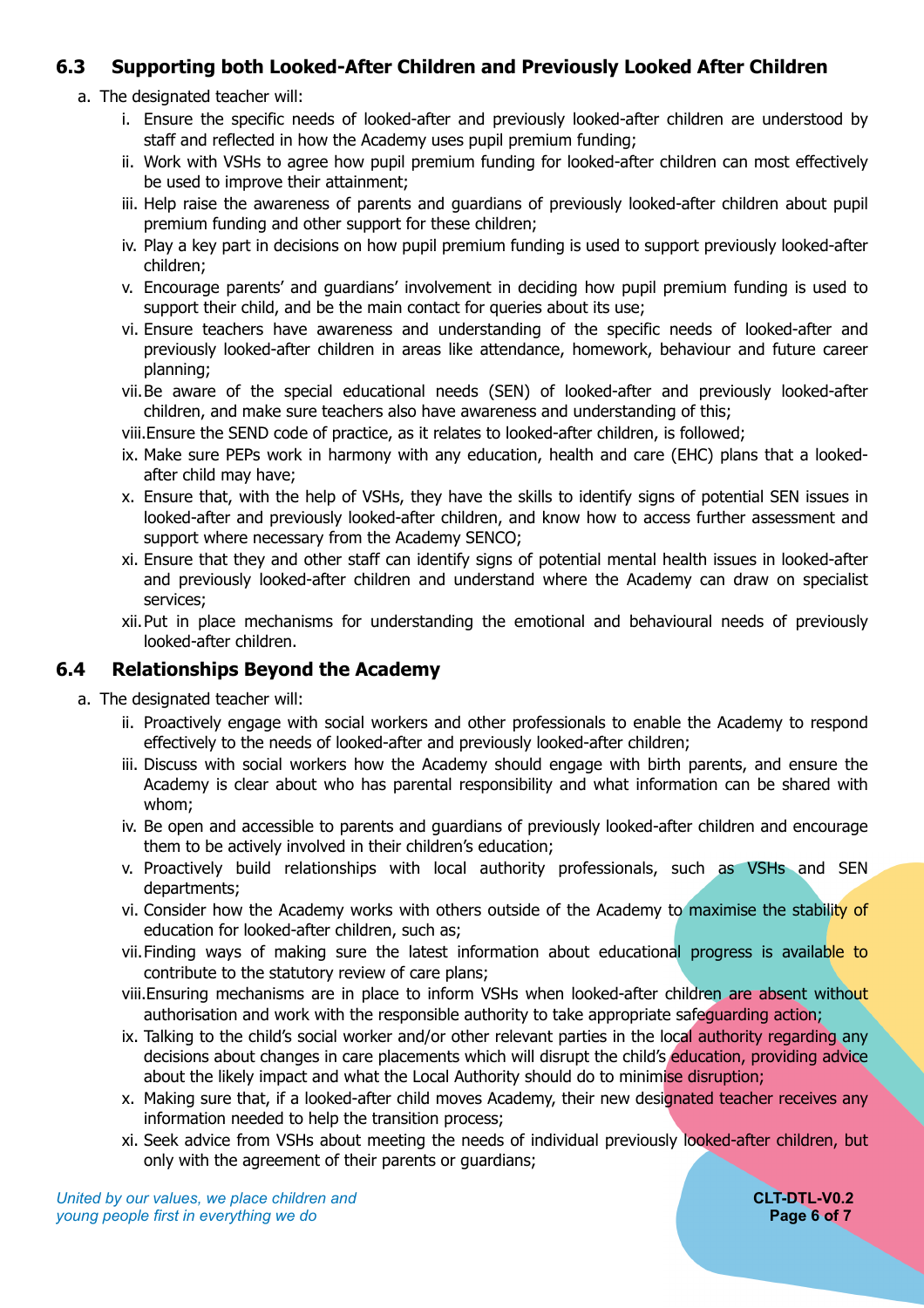#### **6.3 Supporting both Looked-After Children and Previously Looked After Children**

- a. The designated teacher will:
	- i. Ensure the specific needs of looked-after and previously looked-after children are understood by staff and reflected in how the Academy uses pupil premium funding;
	- ii. Work with VSHs to agree how pupil premium funding for looked-after children can most effectively be used to improve their attainment;
	- iii. Help raise the awareness of parents and guardians of previously looked-after children about pupil premium funding and other support for these children;
	- iv. Play a key part in decisions on how pupil premium funding is used to support previously looked-after children;
	- v. Encourage parents' and guardians' involvement in deciding how pupil premium funding is used to support their child, and be the main contact for queries about its use;
	- vi. Ensure teachers have awareness and understanding of the specific needs of looked-after and previously looked-after children in areas like attendance, homework, behaviour and future career planning;
	- vii.Be aware of the special educational needs (SEN) of looked-after and previously looked-after children, and make sure teachers also have awareness and understanding of this;
	- viii.Ensure the SEND code of practice, as it relates to looked-after children, is followed;
	- ix. Make sure PEPs work in harmony with any education, health and care (EHC) plans that a lookedafter child may have;
	- x. Ensure that, with the help of VSHs, they have the skills to identify signs of potential SEN issues in looked-after and previously looked-after children, and know how to access further assessment and support where necessary from the Academy SENCO;
	- xi. Ensure that they and other staff can identify signs of potential mental health issues in looked-after and previously looked-after children and understand where the Academy can draw on specialist services;
	- xii.Put in place mechanisms for understanding the emotional and behavioural needs of previously looked-after children.

#### **6.4 Relationships Beyond the Academy**

- a. The designated teacher will:
	- ii. Proactively engage with social workers and other professionals to enable the Academy to respond effectively to the needs of looked-after and previously looked-after children;
	- iii. Discuss with social workers how the Academy should engage with birth parents, and ensure the Academy is clear about who has parental responsibility and what information can be shared with whom;
	- iv. Be open and accessible to parents and guardians of previously looked-after children and encourage them to be actively involved in their children's education;
	- v. Proactively build relationships with local authority professionals, such as VSHs and SEN departments;
	- vi. Consider how the Academy works with others outside of the Academy to maximise the stability of education for looked-after children, such as;
	- vii. Finding ways of making sure the latest information about educational progress is available to contribute to the statutory review of care plans;
	- viii.Ensuring mechanisms are in place to inform VSHs when looked-after children are absent without authorisation and work with the responsible authority to take appropriate safeguarding action;
	- ix. Talking to the child's social worker and/or other relevant parties in the local authority regarding any decisions about changes in care placements which will disrupt the child's education, providing advice about the likely impact and what the Local Authority should do to minimise disruption;
	- x. Making sure that, if a looked-after child moves Academy, their new designated teacher receives any information needed to help the transition process;
	- xi. Seek advice from VSHs about meeting the needs of individual previously looked-after children, but only with the agreement of their parents or guardians;